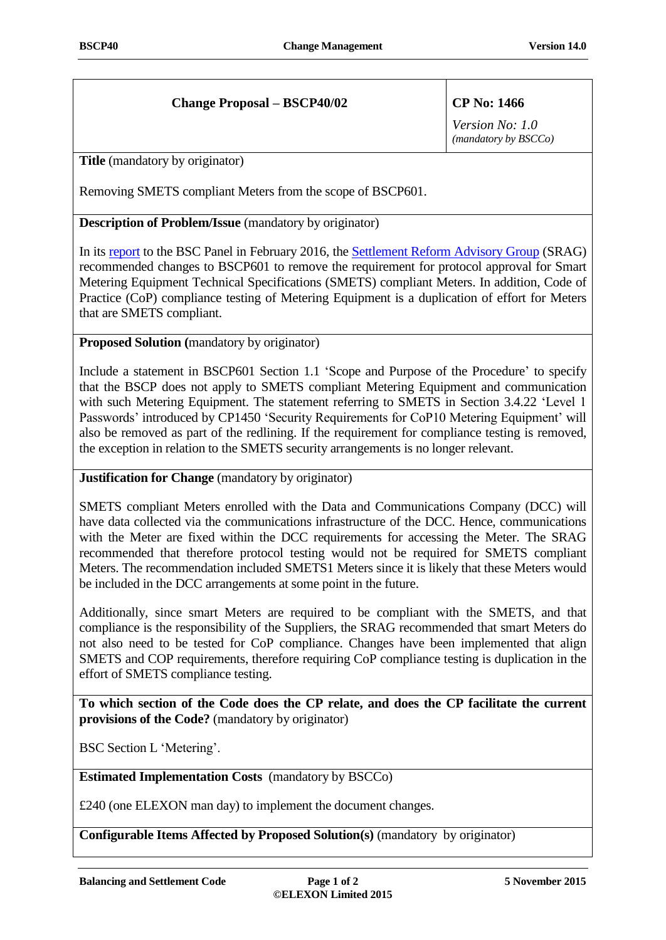## **Change Proposal – BSCP40/02 CP No: 1466**

*Version No: 1.0 (mandatory by BSCCo)*

**Title** (mandatory by originator)

Removing SMETS compliant Meters from the scope of BSCP601.

**Description of Problem/Issue** (mandatory by originator)

In its [report](https://www.elexon.co.uk/wp-content/uploads/2015/10/27_249_13A_SRAG_Report_PUBLIC2.pdf) to the BSC Panel in February 2016, th[e Settlement Reform Advisory Group](https://www.elexon.co.uk/group/settlement-advisory-reform-group-srag/) (SRAG) recommended changes to BSCP601 to remove the requirement for protocol approval for Smart Metering Equipment Technical Specifications (SMETS) compliant Meters. In addition, Code of Practice (CoP) compliance testing of Metering Equipment is a duplication of effort for Meters that are SMETS compliant.

**Proposed Solution (**mandatory by originator)

Include a statement in BSCP601 Section 1.1 'Scope and Purpose of the Procedure' to specify that the BSCP does not apply to SMETS compliant Metering Equipment and communication with such Metering Equipment. The statement referring to SMETS in Section 3.4.22 'Level 1 Passwords' introduced by CP1450 'Security Requirements for CoP10 Metering Equipment' will also be removed as part of the redlining. If the requirement for compliance testing is removed, the exception in relation to the SMETS security arrangements is no longer relevant.

**Justification for Change** (mandatory by originator)

SMETS compliant Meters enrolled with the Data and Communications Company (DCC) will have data collected via the communications infrastructure of the DCC. Hence, communications with the Meter are fixed within the DCC requirements for accessing the Meter. The SRAG recommended that therefore protocol testing would not be required for SMETS compliant Meters. The recommendation included SMETS1 Meters since it is likely that these Meters would be included in the DCC arrangements at some point in the future.

Additionally, since smart Meters are required to be compliant with the SMETS, and that compliance is the responsibility of the Suppliers, the SRAG recommended that smart Meters do not also need to be tested for CoP compliance. Changes have been implemented that align SMETS and COP requirements, therefore requiring CoP compliance testing is duplication in the effort of SMETS compliance testing.

**To which section of the Code does the CP relate, and does the CP facilitate the current provisions of the Code?** (mandatory by originator)

BSC Section L 'Metering'.

**Estimated Implementation Costs** (mandatory by BSCCo)

£240 (one ELEXON man day) to implement the document changes.

**Configurable Items Affected by Proposed Solution(s)** (mandatory by originator)